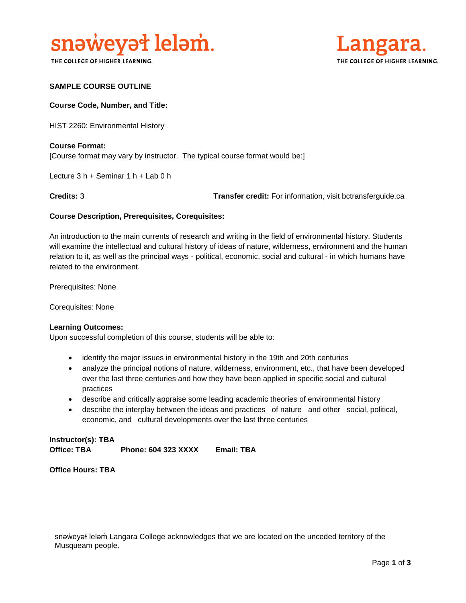

THE COLLEGE OF HIGHER LEARNING.



## **SAMPLE COURSE OUTLINE**

### **Course Code, Number, and Title:**

HIST 2260: Environmental History

## **Course Format:** [Course format may vary by instructor. The typical course format would be:]

Lecture 3 h + Seminar 1 h + Lab 0 h

**Credits:** 3 **Transfer credit:** For information, visit bctransferguide.ca

#### **Course Description, Prerequisites, Corequisites:**

An introduction to the main currents of research and writing in the field of environmental history. Students will examine the intellectual and cultural history of ideas of nature, wilderness, environment and the human relation to it, as well as the principal ways - political, economic, social and cultural - in which humans have related to the environment.

Prerequisites: None

Corequisites: None

#### **Learning Outcomes:**

Upon successful completion of this course, students will be able to:

- identify the major issues in environmental history in the 19th and 20th centuries
- analyze the principal notions of nature, wilderness, environment, etc., that have been developed over the last three centuries and how they have been applied in specific social and cultural practices
- describe and critically appraise some leading academic theories of environmental history
- describe the interplay between the ideas and practices of nature and other social, political, economic, and cultural developments over the last three centuries

**Instructor(s): TBA Office: TBA Phone: 604 323 XXXX Email: TBA**

**Office Hours: TBA** 

snəweyał leləm Langara College acknowledges that we are located on the unceded territory of the Musqueam people.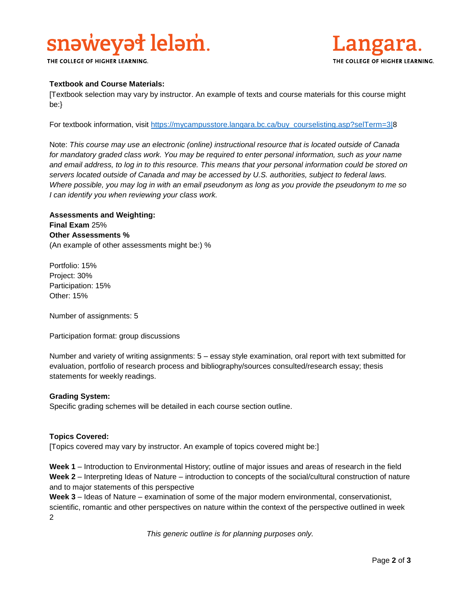# snaweyat lelam.

THE COLLEGE OF HIGHER LEARNING.



## **Textbook and Course Materials:**

[Textbook selection may vary by instructor. An example of texts and course materials for this course might be:}

For textbook information, visit [https://mycampusstore.langara.bc.ca/buy\\_courselisting.asp?selTerm=3|8](https://mycampusstore.langara.bc.ca/buy_courselisting.asp?selTerm=3|)

Note: *This course may use an electronic (online) instructional resource that is located outside of Canada*  for mandatory graded class work. You may be required to enter personal information, such as your name *and email address, to log in to this resource. This means that your personal information could be stored on servers located outside of Canada and may be accessed by U.S. authorities, subject to federal laws. Where possible, you may log in with an email pseudonym as long as you provide the pseudonym to me so I can identify you when reviewing your class work.* 

**Assessments and Weighting: Final Exam** 25% **Other Assessments %** (An example of other assessments might be:) %

Portfolio: 15% Project: 30% Participation: 15% Other: 15%

Number of assignments: 5

Participation format: group discussions

Number and variety of writing assignments: 5 – essay style examination, oral report with text submitted for evaluation, portfolio of research process and bibliography/sources consulted/research essay; thesis statements for weekly readings.

## **Grading System:**

Specific grading schemes will be detailed in each course section outline.

## **Topics Covered:**

[Topics covered may vary by instructor. An example of topics covered might be:]

**Week 1** – Introduction to Environmental History; outline of major issues and areas of research in the field **Week 2** – Interpreting Ideas of Nature – introduction to concepts of the social/cultural construction of nature and to major statements of this perspective

**Week 3** – Ideas of Nature – examination of some of the major modern environmental, conservationist, scientific, romantic and other perspectives on nature within the context of the perspective outlined in week 2

*This generic outline is for planning purposes only.*